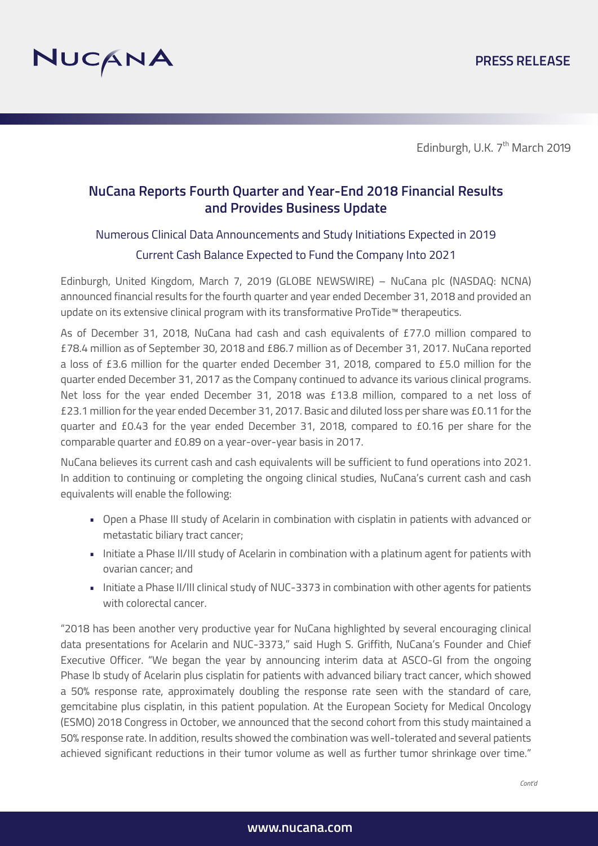

## **NuCana Reports Fourth Quarter and Year-End 2018 Financial Results and Provides Business Update**

## Numerous Clinical Data Announcements and Study Initiations Expected in 2019 Current Cash Balance Expected to Fund the Company Into 2021

Edinburgh, United Kingdom, March 7, 2019 (GLOBE NEWSWIRE) – NuCana plc (NASDAQ: NCNA) announced financial results for the fourth quarter and year ended December 31, 2018 and provided an update on its extensive clinical program with its transformative ProTide™ therapeutics.

As of December 31, 2018, NuCana had cash and cash equivalents of £77.0 million compared to £78.4 million as of September 30, 2018 and £86.7 million as of December 31, 2017. NuCana reported a loss of £3.6 million for the quarter ended December 31, 2018, compared to £5.0 million for the quarter ended December 31, 2017 as the Company continued to advance its various clinical programs. Net loss for the year ended December 31, 2018 was £13.8 million, compared to a net loss of £23.1 million for the year ended December 31, 2017. Basic and diluted loss per share was £0.11 for the quarter and £0.43 for the year ended December 31, 2018, compared to £0.16 per share for the comparable quarter and £0.89 on a year-over-year basis in 2017.

NuCana believes its current cash and cash equivalents will be sufficient to fund operations into 2021. In addition to continuing or completing the ongoing clinical studies, NuCana's current cash and cash equivalents will enable the following:

- Open a Phase III study of Acelarin in combination with cisplatin in patients with advanced or metastatic biliary tract cancer;
- Initiate a Phase II/III study of Acelarin in combination with a platinum agent for patients with ovarian cancer; and
- Initiate a Phase II/III clinical study of NUC-3373 in combination with other agents for patients with colorectal cancer.

"2018 has been another very productive year for NuCana highlighted by several encouraging clinical data presentations for Acelarin and NUC-3373," said Hugh S. Griffith, NuCana's Founder and Chief Executive Officer. "We began the year by announcing interim data at ASCO-GI from the ongoing Phase Ib study of Acelarin plus cisplatin for patients with advanced biliary tract cancer, which showed a 50% response rate, approximately doubling the response rate seen with the standard of care, gemcitabine plus cisplatin, in this patient population. At the European Society for Medical Oncology (ESMO) 2018 Congress in October, we announced that the second cohort from this study maintained a 50% response rate. In addition, results showed the combination was well-tolerated and several patients achieved significant reductions in their tumor volume as well as further tumor shrinkage over time."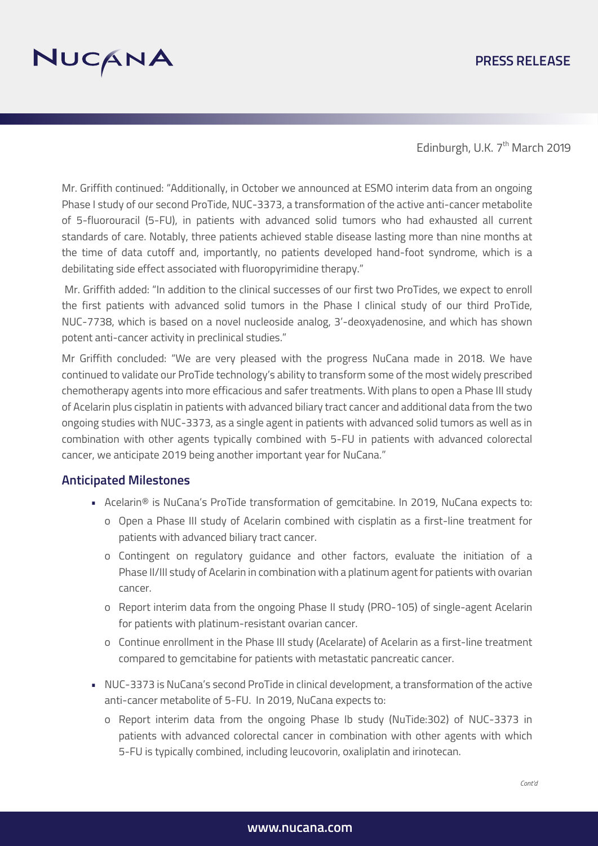### **PRESS RELEASE**



Edinburgh, U.K. 7<sup>th</sup> March 2019

Mr. Griffith continued: "Additionally, in October we announced at ESMO interim data from an ongoing Phase I study of our second ProTide, NUC-3373, a transformation of the active anti-cancer metabolite of 5-fluorouracil (5-FU), in patients with advanced solid tumors who had exhausted all current standards of care. Notably, three patients achieved stable disease lasting more than nine months at the time of data cutoff and, importantly, no patients developed hand-foot syndrome, which is a debilitating side effect associated with fluoropyrimidine therapy."

 Mr. Griffith added: "In addition to the clinical successes of our first two ProTides, we expect to enroll the first patients with advanced solid tumors in the Phase I clinical study of our third ProTide, NUC-7738, which is based on a novel nucleoside analog, 3'-deoxyadenosine, and which has shown potent anti-cancer activity in preclinical studies."

Mr Griffith concluded: "We are very pleased with the progress NuCana made in 2018. We have continued to validate our ProTide technology's ability to transform some of the most widely prescribed chemotherapy agents into more efficacious and safer treatments. With plans to open a Phase III study of Acelarin plus cisplatin in patients with advanced biliary tract cancer and additional data from the two ongoing studies with NUC-3373, as a single agent in patients with advanced solid tumors as well as in combination with other agents typically combined with 5-FU in patients with advanced colorectal cancer, we anticipate 2019 being another important year for NuCana."

#### **Anticipated Milestones**

- Acelarin® is NuCana's ProTide transformation of gemcitabine. In 2019, NuCana expects to:
	- o Open a Phase III study of Acelarin combined with cisplatin as a first-line treatment for patients with advanced biliary tract cancer.
	- o Contingent on regulatory guidance and other factors, evaluate the initiation of a Phase II/III study of Acelarin in combination with a platinum agent for patients with ovarian cancer.
	- o Report interim data from the ongoing Phase II study (PRO-105) of single-agent Acelarin for patients with platinum-resistant ovarian cancer.
	- o Continue enrollment in the Phase III study (Acelarate) of Acelarin as a first-line treatment compared to gemcitabine for patients with metastatic pancreatic cancer.
- NUC-3373 is NuCana's second ProTide in clinical development, a transformation of the active anti-cancer metabolite of 5-FU. In 2019, NuCana expects to:
	- o Report interim data from the ongoing Phase Ib study (NuTide:302) of NUC-3373 in patients with advanced colorectal cancer in combination with other agents with which 5-FU is typically combined, including leucovorin, oxaliplatin and irinotecan.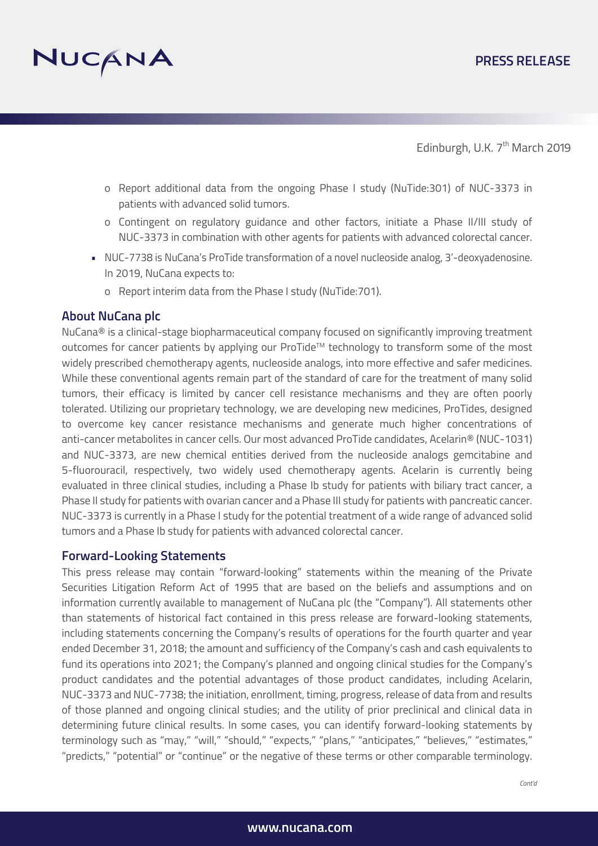

- o Report additional data from the ongoing Phase I study (NuTide:301) of NUC-3373 in patients with advanced solid tumors.
- o Contingent on regulatory guidance and other factors, initiate a Phase II/III study of NUC-3373 in combination with other agents for patients with advanced colorectal cancer.
- NUC-7738 is NuCana's ProTide transformation of a novel nucleoside analog, 3'-deoxyadenosine. In 2019, NuCana expects to:
	- o Report interim data from the Phase I study (NuTide:701).

#### **About NuCana plc**

NuCana<sup>®</sup> is a clinical-stage biopharmaceutical company focused on significantly improving treatment outcomes for cancer patients by applying our ProTide™ technology to transform some of the most widely prescribed chemotherapy agents, nucleoside analogs, into more effective and safer medicines. While these conventional agents remain part of the standard of care for the treatment of many solid tumors, their efficacy is limited by cancer cell resistance mechanisms and they are often poorly tolerated. Utilizing our proprietary technology, we are developing new medicines, ProTides, designed to overcome key cancer resistance mechanisms and generate much higher concentrations of anti-cancer metabolites in cancer cells. Our most advanced ProTide candidates, Acelarin® (NUC-1031) and NUC-3373, are new chemical entities derived from the nucleoside analogs gemcitabine and 5-fluorouracil, respectively, two widely used chemotherapy agents. Acelarin is currently being evaluated in three clinical studies, including a Phase Ib study for patients with biliary tract cancer, a Phase II study for patients with ovarian cancer and a Phase III study for patients with pancreatic cancer. NUC-3373 is currently in a Phase I study for the potential treatment of a wide range of advanced solid tumors and a Phase Ib study for patients with advanced colorectal cancer.

#### **Forward-Looking Statements**

This press release may contain "forward‐looking" statements within the meaning of the Private Securities Litigation Reform Act of 1995 that are based on the beliefs and assumptions and on information currently available to management of NuCana plc (the "Company"). All statements other than statements of historical fact contained in this press release are forward-looking statements, including statements concerning the Company's results of operations for the fourth quarter and year ended December 31, 2018; the amount and sufficiency of the Company's cash and cash equivalents to fund its operations into 2021; the Company's planned and ongoing clinical studies for the Company's product candidates and the potential advantages of those product candidates, including Acelarin, NUC-3373 and NUC-7738; the initiation, enrollment, timing, progress, release of data from and results of those planned and ongoing clinical studies; and the utility of prior preclinical and clinical data in determining future clinical results. In some cases, you can identify forward-looking statements by terminology such as "may," "will," "should," "expects," "plans," "anticipates," "believes," "estimates," "predicts," "potential" or "continue" or the negative of these terms or other comparable terminology.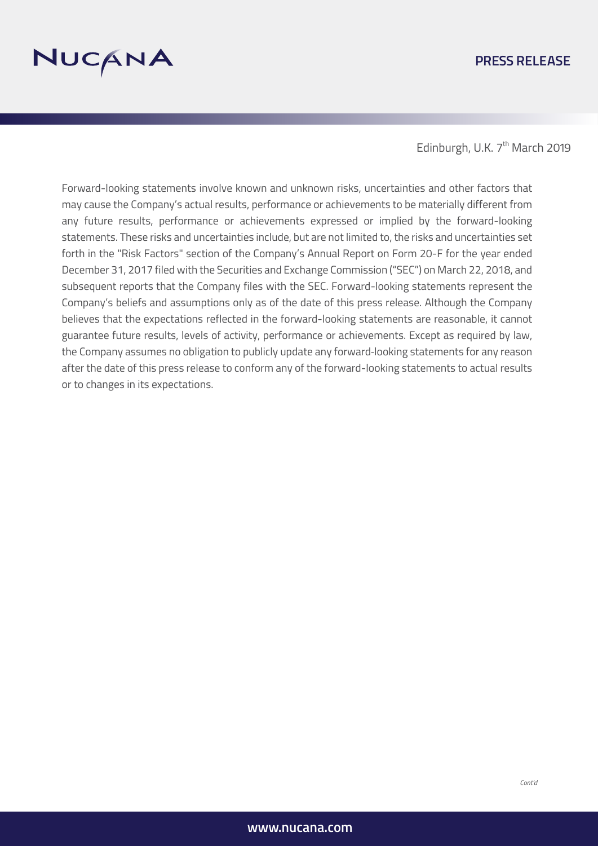

#### **PRESS RELEASE**

Edinburgh, U.K. 7<sup>th</sup> March 2019

Forward-looking statements involve known and unknown risks, uncertainties and other factors that may cause the Company's actual results, performance or achievements to be materially different from any future results, performance or achievements expressed or implied by the forward-looking statements. These risks and uncertainties include, but are not limited to, the risks and uncertainties set forth in the "Risk Factors" section of the Company's Annual Report on Form 20-F for the year ended December 31, 2017 filed with the Securities and Exchange Commission ("SEC") on March 22, 2018, and subsequent reports that the Company files with the SEC. Forward-looking statements represent the Company's beliefs and assumptions only as of the date of this press release. Although the Company believes that the expectations reflected in the forward-looking statements are reasonable, it cannot guarantee future results, levels of activity, performance or achievements. Except as required by law, the Company assumes no obligation to publicly update any forward‐looking statements for any reason after the date of this press release to conform any of the forward-looking statements to actual results or to changes in its expectations.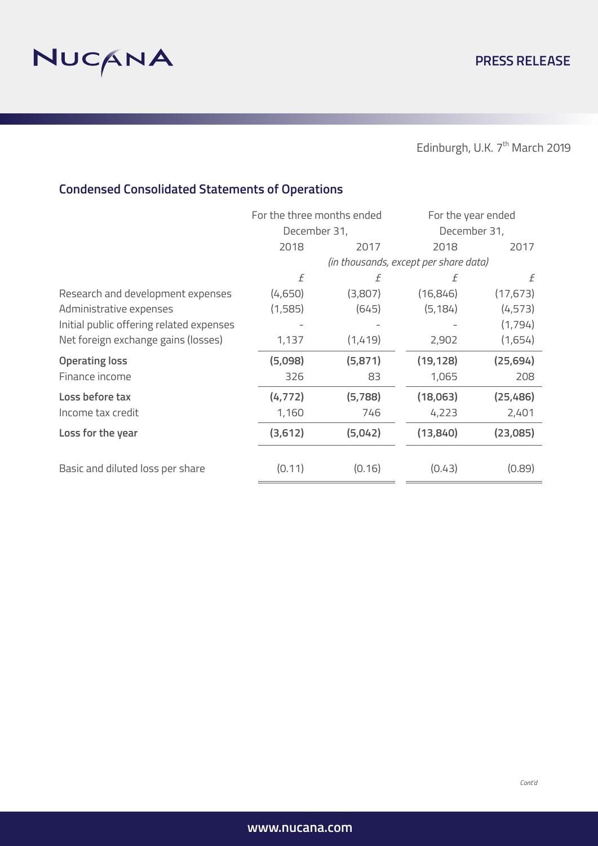

Edinburgh, U.K.  $7^{\text{th}}$  March 2019

# **Condensed Consolidated Statements of Operations**

|                                          | For the three months ended            |         | For the year ended |           |
|------------------------------------------|---------------------------------------|---------|--------------------|-----------|
|                                          | December 31,                          |         | December 31,       |           |
|                                          | 2018                                  | 2017    | 2018               | 2017      |
|                                          | (in thousands, except per share data) |         |                    |           |
|                                          | f                                     | f       | f                  | f         |
| Research and development expenses        | (4,650)                               | (3,807) | (16, 846)          | (17, 673) |
| Administrative expenses                  | (1,585)                               | (645)   | (5, 184)           | (4, 573)  |
| Initial public offering related expenses |                                       |         |                    | (1,794)   |
| Net foreign exchange gains (losses)      | 1,137                                 | (1,419) | 2,902              | (1,654)   |
| <b>Operating loss</b>                    | (5,098)                               | (5,871) | (19, 128)          | (25, 694) |
| Finance income                           | 326                                   | 83      | 1,065              | 208       |
| Loss before tax                          | (4, 772)                              | (5,788) | (18,063)           | (25, 486) |
| Income tax credit                        | 1,160                                 | 746     | 4,223              | 2,401     |
| Loss for the year                        | (3,612)                               | (5,042) | (13, 840)          | (23,085)  |
|                                          |                                       |         |                    |           |
| Basic and diluted loss per share         | (0.11)                                | (0.16)  | (0.43)             | (0.89)    |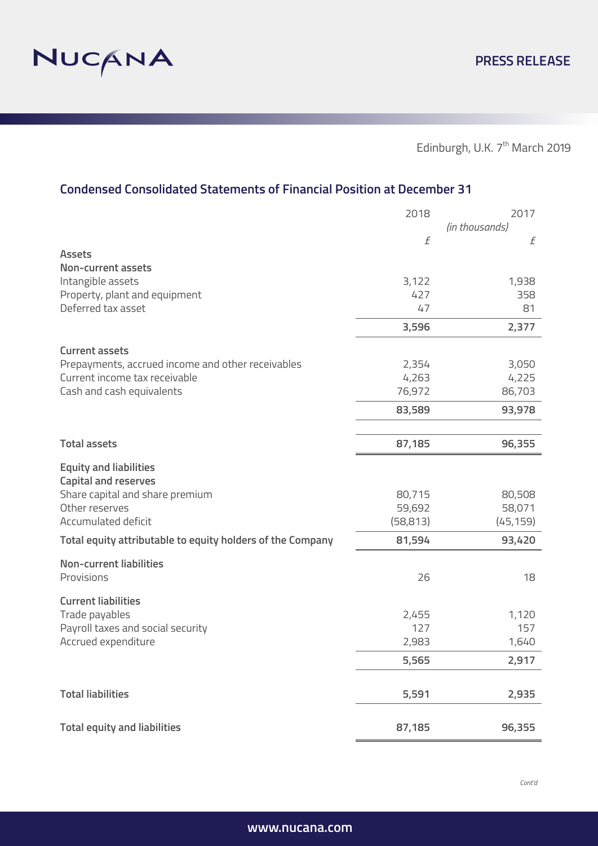

Edinburgh, U.K.  $7^{\text{th}}$  March 2019

## **Condensed Consolidated Statements of Financial Position at December 31**

|                                                            | 2018      | 2017           |
|------------------------------------------------------------|-----------|----------------|
|                                                            |           | (in thousands) |
|                                                            | f         | f              |
| <b>Assets</b>                                              |           |                |
| <b>Non-current assets</b>                                  |           |                |
| Intangible assets                                          | 3,122     | 1,938          |
| Property, plant and equipment                              | 427       | 358            |
| Deferred tax asset                                         | 47        | 81             |
|                                                            | 3,596     | 2,377          |
| <b>Current assets</b>                                      |           |                |
| Prepayments, accrued income and other receivables          | 2,354     | 3,050          |
| Current income tax receivable                              | 4,263     | 4,225          |
| Cash and cash equivalents                                  | 76,972    | 86,703         |
|                                                            | 83,589    | 93,978         |
|                                                            |           |                |
| <b>Total assets</b>                                        | 87,185    | 96,355         |
| <b>Equity and liabilities</b>                              |           |                |
| <b>Capital and reserves</b>                                |           |                |
| Share capital and share premium                            | 80,715    | 80,508         |
| Other reserves                                             | 59,692    | 58,071         |
| Accumulated deficit                                        | (58, 813) | (45, 159)      |
| Total equity attributable to equity holders of the Company | 81,594    | 93,420         |
| <b>Non-current liabilities</b>                             |           |                |
| Provisions                                                 | 26        | 18             |
| <b>Current liabilities</b>                                 |           |                |
| Trade payables                                             | 2,455     | 1,120          |
| Payroll taxes and social security                          | 127       | 157            |
| Accrued expenditure                                        | 2,983     | 1,640          |
|                                                            | 5,565     | 2,917          |
|                                                            |           |                |
| <b>Total liabilities</b>                                   | 5,591     | 2,935          |
| <b>Total equity and liabilities</b>                        | 87,185    | 96,355         |
|                                                            |           |                |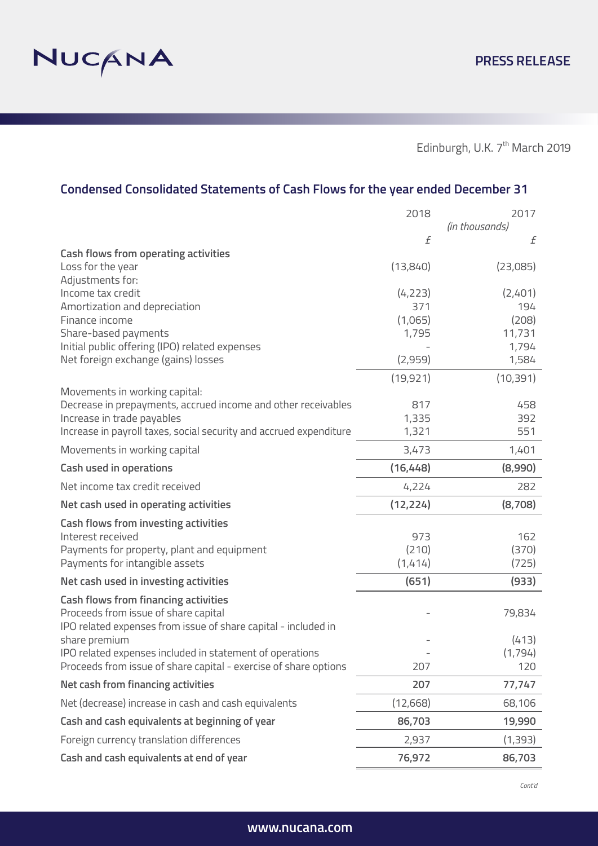

# **Condensed Consolidated Statements of Cash Flows for the year ended December 31**

|                                                                                                                                                       | 2018      | 2017                |
|-------------------------------------------------------------------------------------------------------------------------------------------------------|-----------|---------------------|
|                                                                                                                                                       | f         | (in thousands)<br>f |
| <b>Cash flows from operating activities</b>                                                                                                           |           |                     |
| Loss for the year<br>Adjustments for:                                                                                                                 | (13,840)  | (23,085)            |
| Income tax credit                                                                                                                                     | (4, 223)  | (2,401)             |
| Amortization and depreciation                                                                                                                         | 371       | 194                 |
| Finance income                                                                                                                                        | (1,065)   | (208)               |
| Share-based payments                                                                                                                                  | 1,795     | 11,731              |
| Initial public offering (IPO) related expenses<br>Net foreign exchange (gains) losses                                                                 | (2,959)   | 1,794<br>1,584      |
|                                                                                                                                                       |           |                     |
|                                                                                                                                                       | (19, 921) | (10, 391)           |
| Movements in working capital:<br>Decrease in prepayments, accrued income and other receivables                                                        | 817       | 458                 |
| Increase in trade payables                                                                                                                            | 1,335     | 392                 |
| Increase in payroll taxes, social security and accrued expenditure                                                                                    | 1,321     | 551                 |
| Movements in working capital                                                                                                                          | 3,473     | 1,401               |
| <b>Cash used in operations</b>                                                                                                                        | (16, 448) | (8,990)             |
| Net income tax credit received                                                                                                                        | 4,224     | 282                 |
| Net cash used in operating activities                                                                                                                 | (12, 224) | (8,708)             |
| <b>Cash flows from investing activities</b>                                                                                                           |           |                     |
| Interest received                                                                                                                                     | 973       | 162                 |
| Payments for property, plant and equipment                                                                                                            | (210)     | (370)               |
| Payments for intangible assets                                                                                                                        | (1,414)   | (725)               |
| Net cash used in investing activities                                                                                                                 | (651)     | (933)               |
| <b>Cash flows from financing activities</b><br>Proceeds from issue of share capital<br>IPO related expenses from issue of share capital - included in |           | 79,834              |
| share premium                                                                                                                                         |           | (413)               |
| IPO related expenses included in statement of operations                                                                                              |           | (1,794)             |
| Proceeds from issue of share capital - exercise of share options                                                                                      | 207       | 120                 |
| Net cash from financing activities                                                                                                                    | 207       | 77,747              |
| Net (decrease) increase in cash and cash equivalents                                                                                                  | (12, 668) | 68,106              |
| Cash and cash equivalents at beginning of year                                                                                                        | 86,703    | 19,990              |
| Foreign currency translation differences                                                                                                              | 2,937     | (1,393)             |
| Cash and cash equivalents at end of year                                                                                                              | 76,972    | 86,703              |